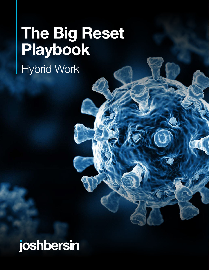# **The Big Reset Playbook**

Hybrid Work

# joshbersin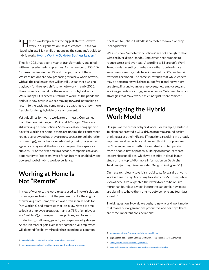$H$   $\parallel$  ybrid work represents the biggest shift to how we work in our generation," said Microsoft CEO Satya Nadella, in late May, while announcing the company's guide to hybrid work: [Hybrid Work: A Guide for Business Leaders.](https://www.microsoft.com/en-us/resilience/hybrid-work-solutions?rtc=1)<sup>1</sup>

Thus far, 2021 has been a year of transformation, and filled with unprecedented complexities. As the number of COVID-19 cases declines in the U.S. and Europe, many of these Western nations are now preparing for a new world of work, with all the challenges that will entail. Just as there was no playbook for the rapid shift to remote work in early 2020, there is no clear model for the new world of hybrid work. While many CEOs expect a "return to work" as the pandemic ends, it is now obvious we are moving forward, not making a return to the past, and companies are adapting to a new, more flexible, forgiving, hybrid work environment.

Yet guidelines for hybrid work are still messy. Companies from Humana to Google to PwC and JPMorgan Chase are still working on their policies. Some are establishing specific days for working at home; others are finding their conference rooms overcrowded (as they are now spaces for collaboration vs. meetings); and others are redesigning their offices once again (you may recall the big move to open office space vs. cubicles). <sup>2</sup> For the first time in a decade, companies have an opportunity to "redesign" work for an Internet-enabled, videopowered, global hybrid work experience.

# **Working at Home Is Not "Remote"**

In view of workers, the word *remote* used to invoke isolation, distance, or seclusion. But the pandemic broke the stigma of "working from home," which was often seen as code for "not working," and taught us that it is okay. Now it is time to look at employee groups (as many as 75% of employees are "deskless"), come up with new policies, and focus on productivity, wellbeing, growth, and experience by design. As the job market gets even more competitive, employees will demand flexibility. Already the second most-common

"location" for jobs in LinkedIn is "remote," followed only by "headquarters."

We also know "remote work policies" are not enough to deal with the hybrid work model. Employees need support to reduce stress and overload. According to Microsoft's Work Trends Index, meeting time has more than doubled since we all went remote, chats have increased by 50%, and email traffic has exploded. The same study finds that while leaders may be performing well, three out of five frontline workers are struggling and younger employees, new employees, and working parents are struggling even more.<sup>3</sup> We need tools and strategies that make work easier, not just "more remote."

# **Designing the Hybrid Work Model**

Design is at the center of hybrid work. For example, Deutsche Telekom has created a CEO-driven program around design thinking across their HR and IT functions, resulting in a greatly improved work experience. However, this kind of program can't be implemented without a mindset shift to operate from a people-first approach, building on human-centered leadership capabilities, which we describe in detail in our study on this topic.<sup>4</sup> (For more information on Deutsche Telekom's journey, view our video *Design Thinking in HR*<sup>5</sup> .)

Our research clearly says it is crucial to go forward, as hybrid work is here to stay. According to a study by McKinsey, while 99% of executives expected their workforce to be on-site more than four days a week before the pandemic, now most are planning to have them on-site between one and four days a week.<sup>6</sup>

The big question: How do we design a new hybrid work model that makes our organizations productive and healthy? There are three important considerations:

<sup>1</sup> [www.linkedin.com/pulse/hybrid-work-paradox-satya-nadella](https://www.linkedin.com/pulse/hybrid-work-paradox-satya-nadella/?trackingId=GgzfvNfkQrS7qr7Y9S2FOw%3D%3D)

<sup>2</sup> [www.wsj.com/articles/if-you-thought-working-from-home-was-messy](https://www.wsj.com/articles/if-you-thought-working-from-home-was-messy-here-comes-hybrid-work-11621935000)

<sup>3</sup> [www.microsoft.com/en-us/worklab/work-trend-index](http://www.microsoft.com/en-us/worklab/work-trend-index) 

<sup>4</sup> *Big Reset Playbook: Human-Centered Leadership*, Josh Bersin Research, April 2021.

<sup>5</sup> <www.youtube.com/watch?v=IDylv3Acwl8>

[www.mckinsey.com/business-functions/organization/our-insights](http://www.mckinsey.com/business-functions/organization/our-insights/what-executives-are-saying-about-the-future-of-hybrid-work)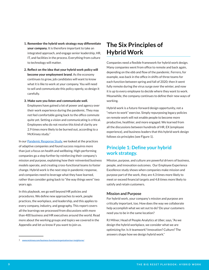- 1. Remember the hybrid work strategy may differentiate your company. It is therefore important to take an integrated approach, and engage senior leadership, HR, IT, and facilities in the process. Everything from culture to technology will matter.
- 2. Reflect on the idea that your hybrid work policy will become your employment brand. As the economy continues to grow, job candidates will want to know what it is like to work at your company. You will need to sell and communicate this policy openly, so design it carefully.
- 3. Make sure you listen and communicate well.

Employees have gained a lot of power and agency over their work experience during the pandemic. They may not feel comfortable going back to the office commute quite yet. Setting a vision and communicating is critical. Employees who do not receive this kind of clarity are 2.9 times more likely to be burned out, according to a McKinsey study.<sup>7</sup>

In our [Pandemic Response Study](https://joshbersin.com/business-resilience-the-global-covid-19-pandemic-response-study/), we looked at the practices of adaptive companies and found success requires more than just a focus on health and wellbeing. High-performing companies go a step further by reinforcing their company's mission and purpose, explaining how their reinvented business models operate, and creating cross-functional teams to foster change. Hybrid work is the next step in pandemic response, and companies need to leverage what they have learned, rather than consider going back to "the way things were" two years ago.

In this playbook, we go well beyond HR policies and procedures. We define new approaches to work, people practices, the workplace, and leadership, and this applies to every company, industry, and geography. This report covers all the learnings we processed from discussions with more than 400 business and HR executives around the world. Read more about the working groups and topics we covered in the Appendix and let us know if you want to join us.

# **The Six Principles of Hybrid Work**

Companies need a flexible framework for hybrid work design. Many companies went from office to remote and back again, depending on the ebb and flow of the pandemic. Ferrero, for example, was back in the office in shifts of three teams for each function between spring and fall of 2020; then it went fully remote during the virus surge over the winter, and now it is up to every employee to decide where they want to work. Meanwhile, the company continues to define their new ways of working.

Hybrid work is a future-forward design opportunity, not a "return to work" exercise. Simply repurposing legacy policies on remote work will not enable people to become more productive, healthier, and more engaged. We learned from all the discussions between hundreds of HR, EX (employee experience), and business leaders that this hybrid work design follows six principles (see Figure 1).

## **Principle 1: Define your hybrid work strategy.**

Mission, purpose, and culture are powerful drivers of business, people, and innovation outcomes. Our Employee Experience Excellence study shows when companies make mission and purpose part of the work, they are 4.3 times more likely to meet or exceed financial targets and 4.8 times more likely to satisfy and retain customers.

#### **Mission and Purpose**

For hybrid work, your company's mission and purpose are critically important, too. How does the way we collaborate help accomplish what we set out to do? Do your customers need you to be in the same location?

RJ Milner, Head of People Analytics at Uber, says, "As we design the hybrid workplace, we consider what we are optimizing for. Is it teamwork? Innovation? Culture? The answers shape how we design hybrid work."

<sup>7</sup> [www.mckinsey.com/business-functions/organization/our-insightsrne/](https://www.mckinsey.com/business-functions/organization/our-insights/what-employees-are-saying-about-the-future-of-remote-work)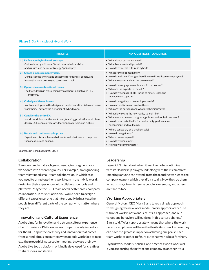#### Figure 1: Six Principles of Hybrid Work

| <b>PRINCIPLE</b>                                                                                                                                                        | <b>KEY QUESTIONS TO ADDRESS</b>                                                                                                                                                                               |
|-------------------------------------------------------------------------------------------------------------------------------------------------------------------------|---------------------------------------------------------------------------------------------------------------------------------------------------------------------------------------------------------------|
| 1   Define your hybrid work strategy.<br>Outline how hybrid work fits into your mission, vision,<br>and culture, and define a strategy / philosophy.                    | • What do our customers need?<br>• What is our leadership model?<br>• How do we retain culture in hybrid?                                                                                                     |
| 2   Create a measurement system.<br>Define success criteria and outcomes for business, people, and<br>innovation measures so you can stay on track.                     | • What are we optimizing for?<br>• How do we know if we 'get there'? How will we listen to employees?<br>• What measures and metrics do we need?                                                              |
| 3   Operate in cross-functional teams.<br>Facilitate design in cross-company collaboration between HR,<br>IT, and more.                                                 | • How do we engage senior leaders in the process?<br>. Who are the experts to consult?<br>• How do we engage IT, HR, facilities, safety, legal, and<br>management together?                                   |
| 4   Codesign with employees.<br>Involve employees in the design and implementation, listen and learn<br>from them. They are the customer of hybrid work.                | • How do we get input on employee needs?<br>• How can we listen and involve them?<br>• Who are the personas and what are their journeys?                                                                      |
| 5   Consider the entire EX.<br>Hybrid work is about the work itself, teaming, productive workplace<br>design, DEI, people processes, learning, leadership, and culture. | . What do we want the new reality to look like?<br>• What work processes, programs, policies, and tools do we need?<br>• How do we create the EX for productivity, performance,<br>engagement, and wellbeing? |
| 6   Iterate and continuously improve.<br>Experiment, iterate, learn what works and what needs to improve,<br>then measure and expand.                                   | • Where can we try on a smaller scale?<br>• How will we get input?<br>• Where can we expand?<br>• How do we implement?<br>• How do we communicate?                                                            |
| Course Josh Dorsin Desparch 2021                                                                                                                                        |                                                                                                                                                                                                               |

*Source: Josh Bersin Research, 2021.*

#### **Collaboration**

To understand what each group needs, first segment your workforce into different groups. For example, an engineering team might need small-team collaboration, in which case you need to bring together a work team in the hybrid world, designing their experiences with collaboration tools and platforms. Maybe the R&D team needs better cross-company collaboration. In this situation, you would need to design a different experience, one that intentionally brings together people from different parts of the company, no matter where they are.

#### **Innovation and Cultural Experience**

Adobe aims for innovation and a strong cultural experience (their Experience Platform makes this particularly important for them). To spur the creativity and innovation that comes from serendipitous encounters when people work face to face, e.g., the proverbial watercooler meeting, they use their own Adobe Live tool, a platform originally developed for creatives to share ideas and iterate.

#### **Leadership**

Lego didn't miss a beat when it went remote, continuing with its "leadership playground" along with their "campfires" (meetings anyone can attend, from the frontline worker to the company owner), which they did virtually. Now they do them in hybrid ways in which some people are remote, and others are face to face.

#### **Working Appropriately**

General Motors' CEO Mary Barra takes a simple approach to designing the new work model: Work appropriately. "The future of work is not a one-size-fits-all approach, and our values and behaviors will guide us in this culture change," Barra said. "Work appropriately means that where the work permits, employees will have the flexibility to work where they can have the greatest impact on achieving our goals." Each team works together to figure out what works best for them.

Hybrid work models, policies, and practices won't work well if you are porting them from one company to another. Your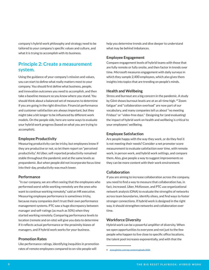company's hybrid work philosophy and strategy need to be tailored to your company's specific values and culture, and what it is trying to accomplish with its business.

## **Principle 2: Create a measurement system.**

Using the guidance of your company's mission and values, you can start to define what really matters most to your company. You should first define what business, people, and innovation outcomes you need to accomplish, and then take a baseline measure so you know where you stand. You should think about a balanced set of measures to determine if you are going in the right direction. Financial performance and customer satisfaction are always important, but they might take a bit longer to be influenced by different work models. On the people side, here are some ways to evaluate your hybrid work progress (based on what you are trying to accomplish).

#### **Employee Productivity**

Measuring productivity can be tricky, but employees know if they are productive or not, so let them report on "perceived productivity." At Uber, self-reported productivity remained stable throughout the pandemic and at the same levels as prepandemic. But when people did not incorporate focus time into their day, productivity was much lower.

#### **Performance**

 "In our company, we are often seeing that the employees who performed worst while working remotely are the ones who want to continue working remotely," said an HR executive. Measuring employee performance is sometimes tricky, because many companies don't trust their own performance management systems. PTC saw a huge discrepancy between manager and self-ratings (as much as 50%) when they started working remotely. Comparing performance levels to location (remote and on-site) will give you data to determine if it reflects actual performance or the proximity biases of managers, and if hybrid work works for your business.

#### **Promotion Rates**

Like performance ratings, identifying inequities in promotion rates of remote employees compared to on-site people will

help you determine trends and dive deeper to understand what may be behind imbalances.

#### **Employee Engagement**

Compare engagement levels of hybrid teams with those that are fully remote or fully onsite, and then factor in trends over time. Microsoft measures engagement with daily surveys in which they sample 2,400 employees, which also gives them insights into topics that are trending on people's minds.

#### **Health and Wellbeing**

Stress and burnout are a big concern in the pandemic. A study by Glint shows burnout levels are at an all-time high. <sup>8</sup> "Zoom fatigue" and "collaboration overload" are now part of our vocabulary, and many companies tell us about "no meeting Fridays" or "video-free days." Designing for (and evaluating) the impact of hybrid work on health and wellbeing is critical to your employees' wellbeing.

#### **Employee Satisfaction**

Are people happy with the way they work, or do they feel it is not meeting their needs? Consider a net promoter score measurement to evaluate satisfaction over time, with remote work, in person work, and hybrid work settings, and compare them. Also, give people a way to suggest improvements so they can be more content with their work environment.

#### **Collaboration**

If you are aiming to increase collaboration across the company, you need to find a way to measure that collaboration has, in fact, increased. Uber, McKesson, and PTC use organizational network analysis (ONA) to evaluate the strengths of networks across team boundaries, identify siloes, and find ways to foster stronger connections. If hybrid work is designed in the right way, it should strengthen networks and collaboration over time.

#### **Workforce Diversity**

Hybrid work can be a powerful amplifier of diversity. When we open opportunities to everyone and not just to the few people who happen to live close to specific office locations, the talent pool increases exponentially, and with that the

<sup>8</sup> [www.glintinc.com/wp-content/uploads/2020](www.glintinc.com/wp-content/uploads/2020/10/Glint-Oct-2020-Data-Insights-Report.pdf)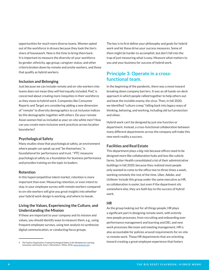opportunities for much more diverse teams. Women opted out of the workforce in droves because they took the lion's share of housework. Now is the time to bring them back. It is important to measure the diversity of your workforce by gender, ethnicity, age group, caregiver status, and other criteria broken down by remote and onsite workers, and those that qualify as hybrid workers.

#### **Inclusion and Belonging**

Just because we can include remote and on-site workers into teams does not mean they will feel equally included. PwC is concerned about creating more inequities in their workforce as they move to hybrid work. Companies like Consumer Reports and Target are considering adding a new dimension of "remote" to diversity demographics to cut inclusion indices by this demographic together with others. Do your remote Asian women feel as included as your on-site white men? How can you create more inclusive work practices across location boundaries?

#### **Psychological Safety**

Many studies show that psychological safety, an environment where people can speak up and "be themselves," is foundational for performance and trust. <sup>9</sup> PTC measures psychological safety as a foundation for business performance and provides training on the topic to leaders.

#### **Retention**

In this hypercompetitive talent market, retention is more important than ever. Measuring retention, or even intent to stay, in your employee survey with remote workers compared to on-site workers will give you great insights into whether your hybrid work design is working, and where to tweak.

### **Living the Values, Experiencing the Culture, and Understanding the Mission**

If these are important to your company and its mission and values, you should identify ways to measure them, e.g., using frequent employee surveys, using text analysis to synthesize digital communication, or conducting focus groups.

The key is to first define your philosophy and goals for hybrid work and let these drive your success measures. Some of them might be harder to accomplish, but don't fall into the trap of just measuring what is easy. Measure what matters to you and your business for success of hybrid work.

# **Principle 3: Operate in a crossfunctional team.**

In the beginning of the pandemic, there was a move toward breaking down company barriers. It was an all hands-on-deck approach in which people rallied together to help others out and beat the invisible enemy, the virus. Then, in fall 2020, we identified "culture creep," falling back into legacy ways of thinking, behaving, and working, including old turf protection and siloes.

Hybrid work can't be designed by just one function or department. Instead, a cross-functional collaboration between many different departments across the company will make this new work reality a success.

#### **Facilities and Real Estate**

This department plays a big role because offices need to be designed more like collaboration hubs and less like cubicle farms. Sutter Health consolidated a lot of their administrative buildings in fall 2020, because they realized most people only wanted to come to the office two to three times a week, working remotely the rest of the time. Uber, Adobe, and Unilever include this group under the same executive as HR, so collaboration is easier, but even if the department sits somewhere else, they are both key to the success of hybrid work.

#### **HR**

As the group looking out for all things people, HR plays a significant part in designing remote work, with entirely new people processes, from recruiting and onboarding over performance management and learning and DEI, and new work processes like team and meeting management. HR is also accountable for policies around requirements for on-site vs remote work. Those HR departments that are orienting toward creating a great employee experience that fosters

<sup>9</sup> *The Fearless Organization: Creating Psychological Safety in the Workplace for Learning, Innovation, and Growth*, Amy C, Edmondson / Wiley, 2018, [www.amazon.com](www.glintinc.com/wp-content/uploads/2020/10/Glint-Oct-2020-Data-Insights-Report.pdf)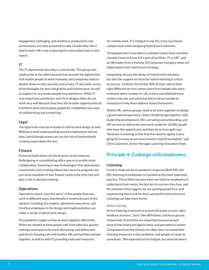engagement, belonging, and workforce productivity and performance are most prepared to take a leadership role in hybrid work. HR's role is described in more detail later in this report.

#### **IT**

The IT department also plays a critical role. This group also needs to be at the table because they provide the digital tools that enable people to work remotely, and companies need to double-down on data security and privacy. IT also looks across all technologies for data integration and maintenance, as well as support for any issues people may experience. While IT is an important contributor, tech-first designs often do not work very well because they miss the broader opportunities to transform work and prepare people for completely new ways of collaborating and connecting.

#### **Legal**

The legal team must be included in hybrid work design as well. Without a solid understanding around employment and tax laws, hybrid design teams can run the risk of inadvertently creating issues down the line.

#### **Finance**

Financial implications of hybrid work can be immense. Redesigning or consolidating office spaces to enable more collaboration, investing in new technologies that allow better connectivity, and creating robust data security programs are just some examples of why finance needs to be informed and play a role in decision-making.

#### **Operations**

Operations teams "own the work" of the people that now work in different ways, and therefore need to be part of the solution. Including line leaders, operations executives, and frontline employees in the design and implementation can make or break a hybrid work design.

The pandemic taught us how to work together effectively. When we needed to keep people safe from infection, quickly redesign workspaces for social distancing, and define new policies for keeping safe and healthy, HR and facilities worked together, as well as with IT, providing tools and resources

for remote work. It is integral to use this cross-functional collaboration when designing hybrid work solutions.

"Employees don't care where a solution comes from, and they shouldn't have to know if it's part of facilities, IT, or HR," said an HR leader from a Fortune 50 Consumer Company when we talked about their hybrid work strategy.

Integrating not just the design of hybrid work solutions but also the support services for hybrid working is critical to success. Unilever found that 20% of their calls to their eight different service centers were from people who were confused which number to call, so they consolidated these centers into one and used chat bots to direct people to resources to help them address issues themselves.

Within HR, various groups need to all work together to design a great hybrid experience. Sutter Health brings together L&D, leadership development, DEI, recruiting and onboarding, and HR services to define the new work model for 10,000 people who have this opportunity, and they do so in an agile way. "Business is evolving so fast that the need for agility is only going to increase as we move toward a hybrid workplace," said Chris Casement, Senior Manager, Learning Innovation Team.

# **Principle 4: Codesign with employees.**

#### **Listening**

In every study we do on pandemic response (Both DEI and EX), listening to employees is revealed as the most important practice. This is likely because when we listen to employees to understand their needs, the barriers to success they face, and the solutions they suggest, we are putting people first, and empowering them to drive their own performance forward. Listening can take many forms.

#### *Active Listening*

Active listening is present in annual and pulse surveys, open feedback sessions, "jams" (like IBM does), and focus groups. These kinds of activities are important because people want to feel heard and appreciated, and perceptions matter. Companies from AstraZeneca to Uber have increased their listening frequency in the pandemic, and people are keen to contribute. "We expected survey fatigue, but what we heard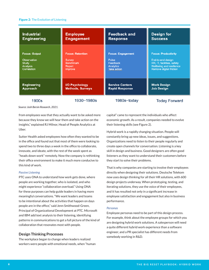#### Figure 2: The Evolution of Listening

| <b>Industrial</b>    | <b>Employee</b>         | <b>Feedback and</b>      | <b>Design for</b>          |  |
|----------------------|-------------------------|--------------------------|----------------------------|--|
| <b>Engineering</b>   | <b>Engagement</b>       | <b>Response</b>          | <b>Success</b>             |  |
| <b>Focus: Output</b> | <b>Focus: Retention</b> | <b>Focus: Engagement</b> | <b>Focus: Productivity</b> |  |
| Observation          | <b>Survey</b>           | Pulse                    | End-to-end design          |  |
| Study                | <b>Benchmark</b>        | Feedback                 | HR, IT, facilities, safety |  |
| Analysis             | Report                  | Analytics                | Wellbeing and resilience   |  |
| Correlation          | Improve                 | Take action              | Remove digital friction    |  |
| <b>Engineering</b>   | <b>I/O Psychology</b>   | <b>Service Centers</b>   | <b>Work Design</b>         |  |
| <b>Approach</b>      | <b>Methods, Surveys</b> | <b>Rapid Response</b>    | <b>Job Design</b>          |  |
| 1900s                | 1930-1980s              | 1980s-today              | <b>Today Forward</b>       |  |

*Source: Josh Bersin Research, 2021.*

from employees was that they actually want to be asked more because they know we will hear them and take action on the insights," explained RJ Milnor, Head of People Analytics at Uber.

Sutter Health asked employees how often they wanted to be in the office and found out that most of them were looking to spend two to three days a week in the office to collaborate, innovate, and ideate, with the rest of the week spent as "heads down work" remotely. Now the company is rethinking their office environment to make it much more conducive to this kind of work.

#### *Passive Listening*

PTC uses ONA to understand how work gets done, where people are working together, who is isolated, and who might experience "collaboration overload." Using ONA for these purposes can help guide leaders in having more meaningful conversations. "We want leaders and teams to be intentional about the activities that happen on days people are in the office," said Jenn Smithwood-Green, Principal of Organizational Development at PTC. Microsoft and IBM add text analysis to their listening, identifying patterns in communications to get a full picture of the kind of collaboration that resonates most with people.

#### **Design Thinking Processes**

The workplace began to change when leaders realized workers were people with emotional needs, when "human capital" came to represent the individuals who affect economic growth. As a result, companies needed to evolve their listening skills (see Figure 2).

Hybrid work is a rapidly changing situation. People will constantly bring up new ideas, issues, and suggestions. Organizations need to listen to their people regularly and create open channels for conversation. Listening is a key skill in design and business. Good designers are often good listeners as they want to understand their customers before they start to solve their problems.

That is why companies are starting to involve their employees directly when designing their solutions. Deutsche Telekom now uses design thinking for all their HR solutions, with 600 design projects underway. When prototyping, testing, and iterating solutions, they use the voice of their employees, and it has resulted not only in a significant increase in employee satisfaction and engagement but also in business performance.

#### *Personas*

Employee personas need to be part of this design process. For example, think about the employee groups for which you are designing hybrid work solutions. A salesperson will need a quite different hybrid work experience than a software engineer, and a PR specialist has different needs from somebody working in R&D.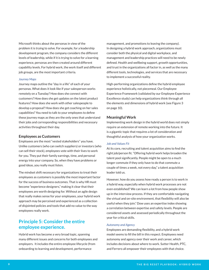Microsoft thinks about the personas in view of the problem it is trying to solve. For example, for a leadership development program, the company considers the different levels of leadership, while if it is trying to solve for a learning experience, personas are then created around different capability levels. For hybrid work, the work itself and different job groups, are the most important criteria.

#### *Journey Maps*

Journey maps outline the "day in a life" of each of your personas. What does it look like if your salesperson works remotely on a Tuesday? How does she connect with customers? How does she get updates on the latest product features? How does she work with other salespeople to develop a proposal? How does she get coaching on her sales capabilities? You need to talk to your employees to define these journey maps as they are the only ones that understand their jobs and corresponding responsibilities and necessary activities throughout their day.

#### **Employees as Customers**

Employees are the most "vested stakeholders" you have. Unlike customers (who can switch suppliers) or investors (who can sell their stock), employees vote with their lives to work for you. They put their family earnings, time, and personal energy into your company. So, when they have problems or good ideas, you really must listen.

The mindset shift necessary for organizations to treat their employees as customers is possibly the most important factor for the success of business outcomes. That is why HR must become "experience designers," making it clear that their employees are worth designing for. Without an agile design that really makes sense for your employees, your hybrid work approach may be perceived and experienced as a collection of disjointed policies and tools that add no value to the way employees really work.

### **Principle 5: Consider the entire employee experience.**

Hybrid work has become a very broad topic, spanning many different issues and concerns for both employees and employers. It includes the entire employee lifecycle (from onboarding to learning and development, performance

management, and promotions to leaving the company). In designing a hybrid work approach, organizations must consider both the physical and digital workplace, and management and leadership practices will need to be newly defined. Health and wellbeing support, growth opportunities, and trust in the organizations all factor in, as well as the many different tools, technologies, and services that are necessary to implement a successful reality.

High-performing organizations define the hybrid employee experience holistically, not piecemeal. Our Employee Experience Framework (validated by our Employee Experience Excellence study) can help organizations think through all the elements and dimensions of hybrid work (see Figure 3 on page 10).

#### **Meaningful Work**

Implementing work design in the hybrid world does not simply require an extension of remote working into the future. It is a gigantic topic that requires a lot of consideration and thoughtful analysis of how your organization works.

#### *Job and Values Fit*

At its core, recruiting and talent acquisition aims to find the right job/person fit. "Offering hybrid work helps broaden the talent pool significantly. People might be open to a much longer commute if they only have to do that commute a couple of times a week, not every day," a talent acquisition leader told us.

However, how do you assess how ready a person is to work in a hybrid way, especially when hybrid work processes are not even established? We can learn a lot from how people show up in the interview process. If they are comfortable navigating the virtual and on-site environment, that flexibility will also be useful when they join." Dow uses an expertise index showing a correlation between expertise and safety levels. People are considered assets and assessed periodically throughout the year for critical skills.

#### *Autonomy and Agency*

Employees are demanding flexibility, and a hybrid work model seems to fill the bill in this respect. Employees need autonomy and agency over their work and career, which includes decisions about where to work. Sutter Health, PTC, and Ferrero all empower their employees with that choice.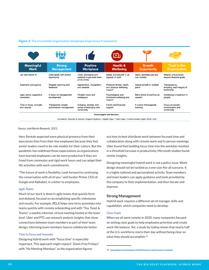#### Figure 3: The Irresistible Organization (Employee Experience Framework)

|                                         | <b>TO!</b>                                    |                                                                  | 迅                                                              |                                            |                                                          |  |  |
|-----------------------------------------|-----------------------------------------------|------------------------------------------------------------------|----------------------------------------------------------------|--------------------------------------------|----------------------------------------------------------|--|--|
| <b>Meaningful</b><br><b>Work</b>        | <b>Strong</b><br><b>Management</b>            | <b>Positive</b><br><b>Workplace</b>                              | <b>Health &amp;</b><br>Wellbeing                               | <b>Growth</b><br><b>Opportunity</b>        | <b>Trust in the</b><br><b>Organization</b>               |  |  |
| Job and values fit                      | Clear goals with stretch<br>opportunity       | Tools, processes and<br>systems to get work done<br>productively | Safety and security in all<br>aspects of work                  | Open, facilitated job and<br>role mobility | Mission and purpose<br>beyond financial goals            |  |  |
| Autonomy and agency                     | Regular coaching and<br>feedback              | Appreciation, recognition,<br>and rewards                        | Personal fitness, health,<br>and physical wellbeing<br>support | Career growth in multiple<br>paths         | Transparency,<br>empathy, and integrity of<br>leadership |  |  |
| Agile teams, supportive<br>coworkers    | A focus on management<br>development          | Flexible hours and<br>workspace                                  | Psychological and<br>emotional wellbeing and<br>support        | Many forms of learning as<br>needed        | Continuous investment in<br>people                       |  |  |
| Time to focus, innovate,<br>and recover | Transparent, simple<br>performance management | Inclusive, diverse, and<br>sense of belonging and<br>community   | Family and financial<br>support                                | A culture that supports<br>learning        | Focus on society,<br>environment, and<br>community       |  |  |
| <b>Technologies and Services</b>        |                                               |                                                                  |                                                                |                                            |                                                          |  |  |

Foundation (Security & Access) | Support Systems | Insights Apps | Talent Apps | Communication Apps | Work Tech

#### *Source: Josh Bersin Research, 2021.*

Herc Rentals expected more physical presence from their executives than from their line employees because they feel senior leaders need to be role models for their culture. But the pandemic has redefined those expectations as organizations have learned employees can be more productive if they are freed from commutes and rigid work hours and can adapt their life activities with work commitments.

"The future of work is flexibility. Look forward to continuing the conversation with all of you," said Sundar Pichai, CEO of Google and Alphabet, in a letter to employees.

#### *Agile Teams*

Much of our work is done in agile teams that quickly form and disband, focused on accomplishing specific milestones and results. For example, RELX helps new hires assimilate into teams quickly with remote onboarding and with "Tea, Toast & Teams," a weekly informal, virtual meeting hosted at the team level. Uber and PTC use network analysis insights that show connections between team members as part of their team design, informing team members how to collaborate better.

#### *Time to Focus and Innovate*

Designing hybrid work with "focus time" is especially important. This approach might replace" Zoom-Free Fridays" with "No Meeting Mondays" as the organization figures

out how to best distribute work between focused time and collaboration along with remote work and in-person meetings. Uber found that building focus time into the workday resulted in a threefold increase in productivity. Microsoft studies found similar insights.

Designing meaningful hybrid work is not a policy issue. Work design should not be tackled as a one-size-fits-all scenario. It is a highly tailored and personalized activity. Team members and team leaders can apply guidance and tools provided by the company to their implementation, and then iterate and improve.

#### **Strong Management**

Hybrid work requires a different set of manager skills and capabilities, which companies need to develop.

#### *Clear Goals*

When we all went remote in 2020, many companies focused on setting clear goals to help employees prioritize and create work-life balance. Yet, a study by Gallup shows that nearly half of the U.S. workforce starts their day without being clear on what they should accomplish.<sup>10</sup>

<sup>10</sup> www.gallup.com/workplace/341894/measure-performance-strate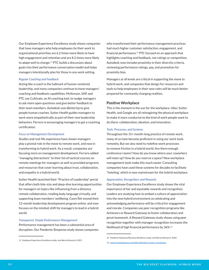Our Employee Experience Excellence study shows companies that have managers who help employees tie their work to organizational priorities are 6.2 times more likely to have high engagement and retention and are 8.2 times more likely to adapt well to change.<sup>11</sup> PTC builds a discussion about goals into their performance conversation model and helps managers intentionally plan for those in any work setting.

#### *Regular Coaching and Feedback*

Acting like a coach is the hallmark of human-centered leadership, and many companies continue to hone managers' coaching and feedback capabilities. McKesson, SAP, and PTC use Cultivate, an AI coaching tool, to nudge managers to ask more open questions and give better feedback to their team members. Autodesk uses BetterUp to give people human coaches. Sutter Health guides managers to work more empathetically as part of their new leadership behaviors. Ferrero is encouraging managers to get a coaching certification.

#### *Focus on Management Development*

Studies and real-life experience have shown managers play a pivotal role in the move to remote work, and now in transforming to hybrid work. As a result, companies are focusing more on management development. Ferrero added "managing distractions" to their list of tactical courses on remote meetings for managers as well as provided programs and resources that cover learning about trust, collaboration, and empathy in a hybrid world.

Sutter Health launched their "Practice of Leadership" portal that offers both bite-size and deep-dive learning opportunities for managers on topics like influencing from a distance, remote collaboration, reading body language virtually, and supporting team members' wellbeing. CoorsTek moved their 12-month leadership development program online, and now focuses on the mindset shift for managers to lead in a hybrid world.

#### *Transparent, Simple Performance Management*

Performance management has been a substantial area of disruption. Our Pandemic Response study shows companies who transformed their performance management practices had much higher customer satisfaction, engagement, and financial performance.12 PTC focused on an approach that highlights coaching and feedback, not ratings or competition. Autodesk now includes proximity in their diversity criteria, reviewing performance ratings, pay, and promotion for proximity bias.

Managers at all levels are critical in supporting the move to hybrid work, and companies that design for resources and tools to help employees in their new roles will be much better prepared for constantly changing realities.

#### **Positive Workplace**

This is the moment in the sun for the workplace. Uber, Sutter Health, and Google are all reimagining the physical workplace to make it more conducive to the kind of work people want to do there: collaboration, ideation, and innovation.

#### *Tools, Processes, and Systems*

Throughout the 15+ month-long practice of remote work, many of us have become proficient in using our work tools remotely. But we also need to redefine work processes to remove friction in a hybrid world. Are there enough conference rooms? How do you know where your coworkers will meet up? How do you reserve a space? New workplace management tools make this much easier. Consulting companies have used these systems for decades to facilitate "hoteling,' which is now mainstream for the hybrid workplace.

#### *Appreciation, Recognition, and Rewards*

Our Employee Experience Excellence study shows the vital importance of fair and equitable rewards and recognition. Leaders are studying how to embed a culture of appreciation into the new hybrid environment as celebrating and acknowledging performance will be critical for engagement and morale. Companies use peer recognition programs like Achievers or Reward Gateway to foster collaboration and great teamwork. A Reward Gateway study shows using peer recognition together with manager recognition increases the likelihood of high financial performance by 36%.<sup>13</sup>

<sup>11</sup> Employee Experience Excellence study, Josh Bersin Research, 2021.

<sup>12</sup> Pandemic Response/Business Resilience study, Josh Bersin Research, 2020

<sup>13</sup> <www.rewardgateway.com/pillar/definition-of-peer-recognition>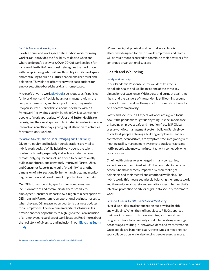#### *Flexible Hours and Workspace*

Flexible hours and workspace define hybrid work for many workers as it provides the flexibility to decide when and where to do one's best work. Over 70% of workers look for increased flexibility.14 Autodesk reimagines the workplace with two primary goals: building flexibility into its workspace and continuing to build a culture that emphasizes trust and belonging. They plan to offer three workspace options for employees: office-based, hybrid, and home-based.

Microsoft's hybrid work [playbook](https://www.microsoft.com/en-us/resilience/hybrid-work-solutions?rtc=1) spells out specific policies for hybrid work and flexible hours for managers within the company framework, and to support others, they made it "open source." Clorox thinks about "flexibility within a framework," providing guardrails, while GM just wants their people to "work appropriately." Uber and Sutter Health are redesigning their workspaces to facilitate high-value in-person interactions on office days, giving equal attention to activities for remote-only workers.

#### *Inclusive, Diverse, and Sense of Belonging and Community*

Diversity, equity, and inclusion considerations are vital to hybrid work design. While hybrid work opens the talent pool more broadly, especially if all roles can also be done remote-only, equity and inclusion need to be intentionally built in, monitored, and constantly improved. Target, Uber, and Consumer Reports now build "proximity" as another dimension of intersectionality in their analytics, and monitor pay, promotion, and development opportunities for equity.

Our DEI study shows high-performing companies use inclusion metrics and communicate them broadly to employees. Consumer Reports saw a big shift in perception of DEI from an HR program to an operational business necessity when they put DEI measures on quarterly business updates for all employees. The new human capital disclosure rules provide another opportunity to highlight a focus on inclusion of all employees regardless of work location. Read more about the real story of diversity and inclusion in our **Elevating Equity** [Study](https://joshbersin.com/dei-research-report/).

When the digital, physical, and cultural workplace is effectively designed for hybrid work, employees and teams will be much more prepared to contribute their best work for continued organizational success.

#### **Health and Wellbeing**

#### *Safety and Security*

In our Pandemic Response study, we identify a focus on holistic health and wellbeing as one of the three key dimensions of excellence. With stress and burnout at all-time highs, and the dangers of the pandemic still looming around the world, health and wellbeing in all forms must continue to be a boardroom priority.

Safety and security in all aspects of work are a given focus now. If the pandemic taught us anything, it's the importance of keeping employees safe and infection-free. S&P Global uses a workflow management system build on ServiceNow to verify all people entering a building (employees, leaders, contractors, even visitors) are symptom-free, integrating with meeting facility management systems to track contacts and notify people who may come in contact with somebody who tests positive.

Chief health officer roles emerged in many companies, sometimes even combined with DEI accountability because people's health is directly impacted by their feeling of belonging, and their mental and emotional wellbeing. For hybrid work, this means seamlessly balancing the remote work and the onsite work safety and security issues, whether that's infection protection on site or digital data security for remote work.

#### *Personal Fitness, Health, and Physical Wellbeing*

Hybrid work design also touches on our physical health and wellbeing. When their offices closed, RELX supported their workforce with nutrition, exercise, and mental health programs. Steve Jobs famously conducted walking meetings decades ago, resulting in innovative ideas and transformation. Once people are in person again, these types of meetings can spur collaboration while also helping people exercise more.

<sup>14</sup> <www.microsoft.com/en-us/worklab/work-trend-index/hybrid-work>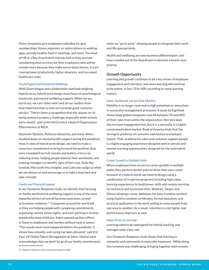Many companies give employees subsidies for gym memberships, fitness expenses, or subscriptions to walking apps, provide healthy food in meetings, and more. The head of HR at a Bay Area fintech startup told us they are now considering meal services for their employees who will be remote more because they make worse food choices, in turn causing lower productivity, higher absences, and increased healthcare costs.

#### *Psychological and Emotional Wellbeing*

With Zoom fatigue and collaboration overload weighing heavily on us, hybrid work design must focus on psychological, emotional, and mental wellbeing support. When we are burnt out, we can't listen well (and all our studies show how important that is) and can't provide great customer service. "There's been a recognition that the 'always on' of being remote has been a challenge, especially while schools were closed," said Lynne McCormick, Head of Organization Effectiveness at RELX.

Deutsche Telekom, Reliance Industries, and many others doubled down on mental health support during the pandemic. Now, in view of hybrid work design, we need to make a conscious commitment to bring forward the positives that were revealed from full-remote and build in a focus on reducing stress, helping people balance their workloads, and training managers to identify signs of burn out. Tools like Unmind, Microsoft Viva Insights, and Cultivate nudge us when we are always on and encourage us to take a step back and take a breath.

#### *Family and Financial Support*

In our Pandemic Response study, we identify that focusing on family and financial wellbeing support is one of the most impactful drivers of overall business outcomes, as well as business resilience.15 Companies around the world tell us they are helping people with caregiving commitments, organizing remote movie nights, and even pitching in to help people who need childcare. Sabre opened up their offices in Texas to employees and families without heat or power. "This would never have happened before the pandemic. It shows how empathy and caring has been elevated," said Eric Paul, VP Global Talent Management at Sabre. Hybrid work acknowledges that we don't let go of our family commitments when we "go to work," allowing people to integrate their work and life appropriately.

Health and wellbeing are now business differentiators and have crawled out of the boardroom to become a board room priority.

#### **Growth Opportunity**

Learning and growth continues to be a key driver of employee engagement and retention, and more learning will continue to be online, in fact, 70 to 90% according to some learning leaders.

#### *Open, Facilitated Job and Role Mobility*

Mobility is no longer reserved to high potentials or executives in succession management processes. A study by Eightfold shows large global companies now fill between 50 and 80% of their roles from within the organization. Not only does this increase engagement but also it is a necessity in a highly constrained talent market. Bank of America finds that the strongest predictor of customer satisfaction is employee tenure. Their academy for sales and customer support people is a highly engaging experience designed with in-person and remote learning opportunities, designed for the new hybrid world.

#### *Career Growth in Multiple Paths*

When employees have access to career growth in multiple paths, they perform better and can drive their own career forward. In a hybrid world, we need to design using a combination of in-person programs including high-value learning experiences to build power skills and remote learning for technical and functional skills. Walmart, Target, and Disney all design career pathways for their frontline workers using Guild to combine certificates, formal education, and practical application in the work setting to move people from one area to another. As a result, retention is a lot higher, and performance improves as well.

#### *Many Forms of Learning*

Learning need to be redesigned for hybrid working, and managers play a key role.

Our Pandemic Response study shows that learning in networks and community is especially important. While doing this remotely was challenging, bringing together both remote

<sup>15</sup> Pandemic Response study, Josh Bersin Research, 2020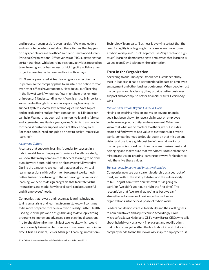and in-person seamlessly is even harder. "We want leaders and teams to be intentional about the activities that happen on days people are in the office," said Jenn Smithwood-Green, Principal Organizational Effectiveness at PTC, suggesting that certain trainings, whiteboarding sessions, activities focused on team forming and cohesiveness, or kicking off a collaborative project across teams be reserved for in-office days.

RELX employees rated virtual learning more effective than in-person, so the company plans to maintain the online format even after offices have reopened. How do you put "learning in the flow of work" when that flow might be either remote or in-person? Understanding workflows is critically important, so we can be thoughtful about incorporating learning into support systems seamlessly. Technologies like Viva Topics and microlearning nudges from companies like Mindmarker can help. Walmart has been using immersive learning (virtual and augmented reality) for years, using Strivr to train people for the vast customer support needs of Black Friday sales. For more details, read our guide on how to design immersive learning.<sup>16</sup>

#### *A Learning Culture*

A culture that supports learning is crucial for success in a hybrid world. In our Employee Experience Excellence study, we show that many companies still expect learning to be done outside work hours, adding to an already overfull workday. During the pandemic, we learned that spaced-out virtual learning sessions with built-in reinforcement works much better. Instead of returning to the old paradigm of in-person learning, we need to design programs that facilitate virtual interactions and model how hybrid work can be successful and fit employees' needs.

Companies that reward and recognize learning, including taking smart risks and learning from mistakes, will continue to be more prepared for the new hybrid reality. Sutter Health used agile principles and design thinking to develop learning programs to implement advanced care-planning discussions in a telehealth environment in just two weeks, which would have normally taken two to three months at an earlier point in time. Chris Casement, Senior Manager, Learning Innovation &

Technology Team, said, "Business is evolving so fast that the need for agility is only going to increase as we move toward a hybrid workplace." TruckStop.com uses "high tech and high touch" learning, demonstrating to employees that learning is valued from Day 1 with new hire orientation.

#### **Trust in the Organization**

According to our Employee Experience Excellence study, trust in leadership has a disproportional impact on employee engagement and other business outcomes. When people trust the company and leadership, they provide better customer support and accomplish better financial results. Everybody wins.

#### *Mission and Purpose Beyond Financial Goals*

Having an inspiring mission and vision beyond financial goals has been shown to have a big impact on employee performance, productivity, and engagement. When we know that what we do matters to others, we put in extra effort and find ways to add value to customers. In a hybrid world, companies need to double-down on that mission and vision and use it as a guidepost to define what works for the company. Autodesk's culture code emphasizes trust and belonging and makes sure that everybody is focused on their mission and vision, creating learning pathways for leaders to help them live these values.

#### *Transparency, Empathy, and Integrity of Leaders*

Companies now see transparent leadership as a bedrock of trust, and with it, the ability to listen and the vulnerability to fail—or just admit "we don't know if this is going to work" or "we didn't get it quite right the first time." The recognition that "we are all adapting as best we can" strengthened a muscle of resilience that will serve organizations into the next phase of hybrid work.

Leaders can demonstrate vulnerability and their willingness to admit mistakes and adjust course accordingly. From Microsoft's Satya Nadella to GM's Mary Barra, CEOs who talk about hybrid work as a work in progress and readily admit that nobody has yet written the book about it, and that each company needs to find their own way, inspire employee trust.

<sup>16</sup> *A Guide to Immersive Learning*, Josh Bersin Research and Strivr, June 2021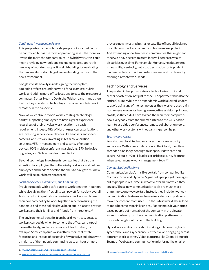#### *Continuous Investment in People*

This people-first approach treats people not as a cost factor to be controlled but as the most appreciating asset: the more you invest, the more the company gains. In hybrid work, this could mean providing new tools and technologies to support this new way of working, supporting skill-building for navigating the new reality, or doubling-down on building culture in the new environment.

Google invests heavily in redesigning the workplace, equipping offices around the world for a seamless, hybrid world and adding more office locations to ease the pressure of commutes. Sutter Health, Deutsche Telekom, and many others told us they invested in technology to enable people to work remotely in the pandemic.

Now, as we continue hybrid work, creating "technology parity," supporting employees to have a great experience, regardless of their physical work location, is a basic requirement. Indeed, 48% of North American organizations are investing in peripheral devices like headsets and video cameras, and 96% are investing in team collaboration solutions, 95% in management and security of endpoint devices, 90% in videoconferencing solutions, 39% in device upgrades, and 32% in mobile connectivity.<sup>17</sup>

Beyond technology investments, companies that also pay attention to amplifying the culture in hybrid work and helping employees and leaders develop the skills to navigate this new world will be much better prepared.

#### *Focus on Society, Environment, and Community*

Providing people with a safe place to work together in-person while also giving them flexibility can pay off for society overall. A study by Lucidspark shows one in five workers had broken their company policy to work together in person during the pandemic, and these policies have been put in place to protect workers and their families and friends from infections.<sup>18</sup>

The environmental benefits from hybrid work, too, because workers can decide when to come to the office, can carpool more effectively, and work remotely if traffic is bad, for example. Some companies also rethink their real estate footprint, and instead of occupying few massive buildings with a majority of their people commuting up to an hour or more,

they are now investing in smaller satellite offices all designed for collaboration. Less commute miles mean less pollution. And expanding opportunities in communities that might not otherwise have access to great jobs will decrease wealth disparities over time. For example, Humana, headquartered in Louisville, Kentucky, not a top destination for top talent, has been able to attract and retain leaders and top talent by offering a remote work model.

#### **Technology and Services**

The pandemic has put workforce technologies front and center of attention, not just for the IT department but also the entire C-suite. While the prepandemic world allowed leaders to avoid using any of the technologies their workers used daily (some were known for having an executive assistant print out emails, so they didn't have to read them on their computer), now everybody from the summer intern to the CEO had to learn to use video conferences, remote collaboration tools, and other work systems without any in-person help.

#### *Security and Access*

Foundational to all technology investments are security and access. With so much data now in the Cloud, the office shredder is no longer enough to keep your data safe and secure. About 64% of IT leaders prioritize security features when selecting new work management tools.<sup>19</sup>

#### *Communication Platforms*

Communication platforms like portals from companies like Microsoft Viva and Dynamic Signal help people get messages out to people in real time, in whatever format in which they engage. These new communication tools are much more than simple, one-way portals. Instead, they include two-way communication features and engaging videos and podcasts to make the content more useful. In the hybrid world, these kind of tools become especially critical. For example, if your officebased people get news about the company in the elevator screen, double- up on these communication platforms for those who might not come to the building.

Hybrid work at its core is about making collaboration, both synchronous and asynchronous, effective and engaging across different work settings. Video platforms like Zoom, Microsoft Teams or Webex and communication platforms like email or

<sup>17</sup> [www.s24.q4cdn.com/511786472/files/doc\\_downloads/2021](https://s24.q4cdn.com/511786472/files/doc_downloads/2021/01/Poly-IDC_Equipping-Hybrid-Workforce-white-paper.pdf)

<sup>18</sup> <www.lucidspark.com/blog/report-collaboration-and-creativity-during-covid>

<sup>19</sup> <www.wrike.com/blog/wrike-research-technology-power-hybrid-work/>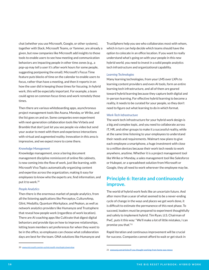chat (whether you use Microsoft, Google, or other systems), together with Slack, Microsoft Teams, or Yammer, are already a given, but now companies like Microsoft add insights to those tools to enable users to see how meeting and communication behaviors are impacting people in other time zones (e.g., a pop-up may tell a user it's after work hours for some people, suggesting postponing the email). Microsoft's Focus Time feature puts blocks of time on the calendar to enable users to focus, rather than have a meeting, and then it reports in on how the user did in keeping those times for focusing. In hybrid work, this will be especially important. For example, a team could agree on common focus times and work remotely those times.

Then there are various whiteboarding apps, asynchronous project management tools like Asana, Monday, or Wrike, and the list goes on and on. Some companies even experiment with next-generation collaboration tools like Virbela and Bramble that don't just let you see people via video but send your avatar to meet with them and experience interactions with virtual and augmented reality. Innovation in this area is impressive, and we expect more to come there.

#### *Knowledge Management*

Knowledge management, once a boring document management discipline reminiscent of online file cabinets, is now coming into the flow of work, just like learning, with Microsoft Viva Topics automatically organizing content and expertise across the organization, making it easy for employees to know who the experts are, find information, and put it to work.<sup>20</sup>

#### *People Analytics*

Then there is the enormous market of people analytics, from all the listening applications like Perceptyx, CultureAmp, Glint, Medallia, Quantum Workplace, and Peakon, as well as network analytics providers like Humanyze and Trustsphere that reveal how people work (regardless of work location). There are AI coaching apps like Cultivate that digest digital behaviors and provide tips on how to improve relationships, letting team members set preferences for when they want to be in the office, so employees can choose what collaboration days are best for the team. ONA solutions like Humanyze and TrustSphere help you see who collaborates most with whom, which in turn can help decide which teams should have the option to colocate in an office location. If you want to really understand what's going on with your people in this new hybrid world, you need to invest in a solid people analytics tech infrastructure and organizational capability.

#### *Learning Technologies*

Many learning technologies, from your LMS over LXPs to learning content providers and even AI tools, form an entire learning tech infrastructure, and all of them are geared toward hybrid learning because they capture both digital and in-person learning. For effective hybrid learning to become a reality, it needs to be curated for your people, so they don't need to figure out what learning to do in which format.

#### *Work-Tech Infrastructure*

The work tech infrastructure for your hybrid work design is a big and complex topic, and you need to collaborate across IT, HR, and other groups to make it a successful reality, while at the same time listening to your employees to understand their needs and requirements. Walmart now plans to give each employee a smartphone, a huge investment with close to a million devices because their work tech needs to work anywhere, anytime. Whether it is a project management tool like Wrike or Monday, a sales management tool like Salesforce or Hubspot, or a spreadsheet solution from Microsoft or Google, they all need to work wherever the employee may be.

### **Principle 6: Iterate and continuously improve.**

The world of hybrid work feels like an uncertain future. And after more than a year of what seemed to be a never-ending cycle of change in the ways and places we get work done, it is difficult to estimate the permanence of this next phase. To succeed, leaders must be prepared to experiment thoughtfully and safely to implement hybrid. Tim Ryan, U.S. Chairman of PwC, puts it this way: "We'll make a lot of little mistakes, I can promise you that."<sup>21</sup>

Rapid iteration and continuous improvement will be crucial for success. Companies cannot afford to wait or get stuck in

<sup>20</sup> <www.microsoft.com/en-us/microsoft-viva/topics/overview>

<sup>21</sup> [www.wsj.com/articles/if-you-thought-working-from-home-was-messy](www.wsj.com/articles/if-you-thought-working-from-home-was-messy-here-comes-hybrid-work-11621935000)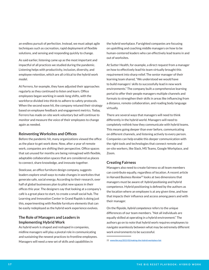an endless pursuit of perfection. Instead, we must adopt agile techniques such as cocreation, rapid deployment of flexible solutions, and sensing and responding quickly to change.

As said earlier, listening came up as the most important and impactful of all practices we studied during the pandemic. Listening helps with productivity, inclusion, diversity, and employee retention, which are all critical to the hybrid work model.

At Ferrero, for example, they have adjusted their approaches regularly as they continued to listen and learn. Office employees began working in week-long shifts, with the workforce divided into thirds to adhere to safety protocols. When the second wave hit, the company retuned their strategy based on employee feedback and engagement metrics. Today, Ferrero has made on-site work voluntary but will continue to monitor and measure the voice of their employees to change again as needed.

#### **Reinventing Worksites and Offices**

Before the pandemic hit, many organizations viewed the office as the place to get work done. Now, after a year of remote work, companies are shifting their perspective. Office spaces that sat unused for months are being reimagined with flexible, adaptable collaboration spaces that are considered as places to connect, share knowledge, and innovate together.

Steelcase, an office furniture design company, suggests leaders explore small ways to make changes in worksites that generate safe, social energy. According to their research, over half of global businesses plan to pilot new spaces in their offices this year. The designers say that looking at a company's café is a great place to start, to create a small social hub. The Learning and Innovation Center in Grand Rapids is doing just this, experimenting with flexible furniture elements that can be easily redeployed as the hybrid work experience evolves.

#### **The Role of Managers and Leaders in Implementing Hybrid Work**

As hybrid work is shaped and reshaped in companies, midline managers will play a pivotal role in communicating and sustaining the newest practices to frontline employees. Managers will need a new set of skills and capabilities in

the hybrid workplace. Farsighted companies are focusing on upskilling and coaching middle managers on how to be human-centered leaders who can effectively lead teams in and out of worksites.

At Sutter Health, for example, a direct request from a manager on how to effectively lead his team virtually brought this requirement into sharp relief. The senior manager of their learning team shared, "We understood we would have to build managers' skills to successfully lead in new work environments." The company built a comprehensive learning portal to offer their people managers multiple channels and formats to strengthen their skills in areas like influencing from a distance, remote collaboration, and reading body language virtually.

There are several ways that managers will need to think differently in the hybrid world. Managers will need to completely rethink how they communicate with hybrid teams. This means going deeper than ever before, communicating on different channels, and listening actively to every person. Companies can help enable this deeper communication with the right tools and technologies that connect remote and on-site workers, like Slack, MS Teams, Google Workplace, and Zoom.

#### **Creating Fairness**

Managers also need to create fairness so all team members can contribute equally, regardless of location. A recent article in *Harvard Business Review*<sup>22</sup> looks at two dimensions that managers must be aware of: *hybrid positioning* and hybrid competence. Hybrid positioning is defined by the authors as the location where an employee is at any given time, and how that impacts their influence and access among peers and with their manager.

On the flipside, *hybrid competence* refers to the unique differences of our team members. "Not all individuals are equally skilled at operating in a hybrid environment." The authors go on to note that hybrid work requires employees to navigate seamlessly between what may be extremely different work environments to be successful.

22 <www.hbr.org/2021/02/making-the-hybrid-workplace-fair>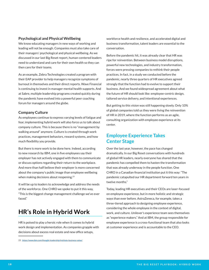#### **Psychological and Physical Wellbeing**

We know educating managers in new ways of working and leading will not be enough. Companies must also take care of their managers' psychological and physical wellbeing. As we discussed in our last Big Reset report, human-centered leaders need to understand and care for their own health so they can then care for their teams.

As an example, Zebra Technologies created a program with their EAP provider to help managers recognize symptoms of burnout in themselves and their direct reports. Wave Financial is continuing to invest in manager mental health supports. And at Sabre, multiple leadership programs created quickly during the pandemic have evolved into a powerful peer coaching forum for managers around the globe.

#### **Company Culture**

As employees continue to express varying levels of fatigue and fear, implementing hybrid work will also force us to talk about company culture. This is because there is no "management by walking around" anymore. Culture is created through work practices, management behaviors, reward systems, and how much flexibility you provide.

But there is more work to be done here. Indeed, according to new research by IBM, one in five employees say their employer has not actively engaged with them to communicate or discuss options regarding their return to the workplace. And more than half believe their employer is more concerned about the company's public image than employee wellbeing when making decisions about reopening.<sup>23</sup>

It will be up to leaders to acknowledge and address the needs of the workforce. One CHRO we spoke to put it this way, "This is the biggest change management challenge we've ever faced."

# **HR's Role in Hybrid Work**

HR is poised to play a heroic role when it comes to hybrid work design and implementation. As companies grapple with decisions about excess real estate and new office setups,

23 <https://www.ibm.com/thought-leadership/institute-business-value/>

workforce health and resilience, and accelerated digital and business transformation, talent leaders are essential to the conversation.

Before the pandemic hit, it was already clear that HR was ripe for reinvention. Between business model disruptions, powerful new technologies, and industry transformation, forces were pressing companies to rethink their people practices. In fact, in a study we conducted before the pandemic, nearly three quarters of HR executives agreed strongly that the function had to evolve to support their business. And we found widespread agreement about what the future of HR should look like: employee-centric design, tailored service delivery, and intentional experiences.

But getting to this vision was still happening slowly. Only 10% of global companies told us they were living the reinvention of HR in 2019, where the function performs as an agile, consulting organization with employee experience at its center.

### **Employee Experience Takes Center Stage**

Over the last year, however, the pace has changed dramatically. In our Big Reset conversations with hundreds of global HR leaders, nearly everyone has shared that the pandemic has compelled them to hasten the transformation that was already underway in the people function. One CHRO in a Canadian financial institution put it this way: "The pandemic catapulted our HR department forward ten years in twelve months."

Today, leading HR executives and their CEOs are laser-focused on employee experience, but in more holistic and strategic ways than ever before. AstraZeneca, for example, takes a three-tiered approach to designing employee experience, considering the whole employee in the context of digital, work, and culture. Unilever's experience team sees themselves as "experience makers." And at IBM, the group responsible for employee experience is a cross-functional team that also looks at customer experience and is accountable to the CEO.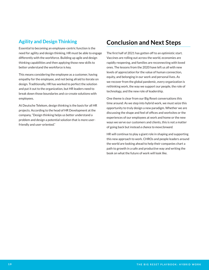### **Agility and Design Thinking**

Essential to becoming an employee-centric function is the need for agility and design thinking. HR must be able to engage differently with the workforce. Building up agile and design thinking capabilities and then applying those new skills to better understand the workforce is key.

This means considering the employee as a customer, having empathy for the employee, and not being afraid to iterate on design. Traditionally, HR has worked to perfect the solution and put it out to the organization, but HR leaders need to break down those boundaries and co-create solutions with employees.

At Deutsche Telekom, design thinking is the basis for all HR projects. According to the head of HR Development at the company, "Design thinking helps us better understand a problem and design a potential solution that is more userfriendly and user-oriented."

# **Conclusion and Next Steps**

The first half of 2021 has gotten off to an optimistic start. Vaccines are rolling out across the world, economies are rapidly reopening, and families are reconnecting with loved ones. The lessons from the 2020 have left us all with new levels of appreciation for the value of human connection, equity, and belonging in our work and personal lives. As we recover from the global pandemic, every organization is rethinking work, the way we support our people, the role of technology, and the new role of leadership.

One theme is clear from our Big Reset conversations this time around: As we step into hybrid work, we must seize this opportunity to truly design a new paradigm. Whether we are discussing the shape and feel of offices and worksites or the experiences of our employees at work and home or the new ways we serve our customers and clients, this is not a matter of going back but instead *a chance to move forward.*

HR will continue to play a giant role in shaping and supporting this new approach to work. CHROs and people leaders around the world are looking ahead to help their companies chart a path to growth in a safe and productive way and writing the book on what the future of work will look like.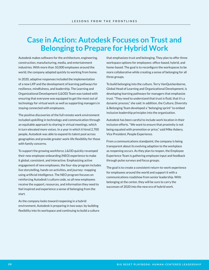# **Case in Action: Autodesk Focuses on Trust and Belonging to Prepare for Hybrid Work**

Autodesk makes software for the architecture, engineering, construction, manufacturing, media, and entertainment industries. With more than 10,000 employees around the world, the company adapted quickly to working from home.

In 2020, adaptive responses included the implementation of a new LXP and the development of learning pathways for resilience, mindfulness, and leadership. The Learning and Organizational Development (L&OD) Team was tasked with ensuring that everyone was equipped to get the most out of technology for virtual work as well as supporting managers in staying connected with employees.

The positive discoveries of the full remote work environment included upskilling in technology and communication through an equitable approach to sharing in virtual meetings, which in turn elevated more voices. In a year in which it hired 2,700 people, Autodesk was able to expand its talent pool across geographies and provide greater work-life flexibility for those with family concerns.

To support the growing workforce, L&OD quickly revamped their new employee onboarding (NEO) experience to make it global, consistent, and interactive. Emphasizing active engagement of new employees, the four-day program includes live storytelling, hands-on activities, and journey- mapping using artificial intelligence. The NEO program focuses on reinforcing Autodesk's culture code, so all new employees receive the support, resources, and information they need to feel inspired and experience a sense of belonging from the start.

As the company looks toward reopening in a hybrid environment, Autodesk is preparing in two ways: by building flexibility into its workspace and continuing to build a culture that emphasizes trust and belonging. They plan to offer three workspace options for employees: office-based, hybrid, and home-based. The goal is to reconfigure the workspaces to be more collaborative while creating a sense of belonging for all three groups.

To build belonging into the culture, Terry VanQuickenborne, Global Head of Learning and Organizational Development, is developing learning pathways for managers that emphasize trust. "They need to understand that trust is fluid, that it's a dynamic process," she said. In addition, the Culture, Diversity & Belonging Team developed a "belonging sprint" to embed inclusive leadership principles into the organization.

Autodesk has been careful to include work location in their inclusion efforts. "We want to ensure that proximity is not being equated with promotion or price," said Mike Asbery, Vice President, People Experience.

From a communications standpoint, the company is being transparent about its evolving adaption to the workplace as reopening occurs. As they plan to reopen, the Employee Experience Team is gathering employee input and feedback through pulse surveys and focus groups.

The goal is to create a consistent return-to-work experience for employees around the world and support it with a communications roadshow from senior leadership. With belonging at the center, they will be sure to carry the successes of 2020 into the new era of hybrid work.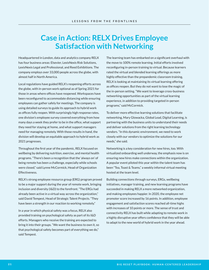# **Case in Action: RELX Drives Employee Satisfaction with Networking**

Headquartered in London, data and analytics company RELX has four business areas: Elsevier, LexisNexis Risk Solutions, LexisNexis Legal and Professional, and Reed Exhibitions. The company employs over 33,000 people across the globe, with almost half in North America.

Local regulations have guided RELX's reopening efforts across the globe, with in-person work optional as of Spring 2021 for those in areas where offices have reopened. Workspaces have been reconfigured to accommodate distancing while ensuring employees can gather safely for meetings. The company is using detailed surveys to guide its approach to hybrid work as offices fully reopen. With surprisingly high response rates, one division's employee survey covered everything from how many days a week they prefer to be in the office, what support they need for staying at home, and what support managers need for managing remotely. With those results in hand, the division will develop an equitable approach to hybrid work as 2021 progresses.

Throughout the first year of the pandemic, RELX focused on wellbeing by delivering nutrition, exercise, and mental health programs. "There's been a recognition that the 'always on' of being remote has been a challenge, especially while schools were closed," said Lynne McCormick, Head of Organization Effectiveness.

RELX's strong employee resource group (ERG) program proved to be a major support during the year of remote work, bringing inclusion and diversity (I&D) to the forefront. "The ERGs had already been active in a virtual way across the organization," said David Tempest, Head of Strategic Talent Projects. "They have been a strength in our reaction to working remotely."

In a year in which physical safety was a focus, RELX also provided training on psychological safety as part of its I&D efforts. Managers who receive the training are expected to bring it into their groups. "We want the business to own it, so that psychological safety becomes part of everything we do," said Tempest.

The learning team has embarked on a significant overhaul with the move to 100% remote learning. Initial efforts involved reconfiguring in-person training to virtual. Because learners rated the virtual and blended learning offerings as more highly effective than the prepandemic classroom training, RELX is looking at maintaining its virtual learning offering as offices reopen. But they do not want to lose the magic of the in-person setting. "We want to leverage cross-business networking opportunities as part of the virtual learning experience, in addition to providing targeted in-person programs," said McCormick. **EXERCISION FROM THE FROM TENDS FROM THE PROM TRISP**<br> **EXECTION THE THEORY CONTIFICENT CONTIFICENT CONTIFICENT CONTINUES INTO THE CONTINUES INTO THE CONTINUES INTO THE CONTINUES INTO THE CONTINUES INTO THE CONTINUES TO THE** 

To deliver more effective learning solutions that facilitate networking, Mary Glowacka, Global Lead, Digital Learning, is partnering with the business units to understand their needs and deliver solutions from the right learning technology vendors. "In this dynamic environment, we need to work closely with our vendors to optimize the solutions for our needs," she said.

Networking is a key consideration for new hires, too. With virtualized onboarding well underway, the emphasis now is on ensuring new hires make connections within the organization. A popular event piloted this year within the talent team has been "Tea, Toast & Teams," a weekly informal virtual meeting hosted at the team level.

Building connections through surveys, ERGs, wellbeing initiatives, manager training, and new learning programs have succeeded in making RELX a more networked organization, and making employees happier. In 2020, the employee net promoter score increased by 16 points. In addition, employee engagement and satisfaction scores reached all-time highs with increases of 10 points or more. The sense of trust and connectivity RELX has built while adapting to remote work in a highly disruptive year offers confidence that they will be able to adapt to the new world of hybrid work in the year ahead.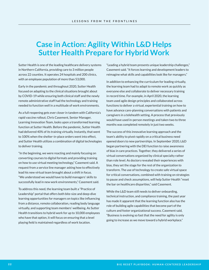# **Case in Action: Agility Within L&D Helps Sutter Health Prepare for Hybrid Work**

Sutter Health is one of the leading healthcare delivery systems in Northern California, providing care to 3 million people across 22 counties. It operates 24 hospitals and 200 clinics, with an employee population of more than 53,000.

Early in the pandemic and throughout 2020, Sutter Health focused on adapting to the clinical situations brought about by COVID-19 while ensuring both clinical staff and the newly remote administrative staff had the technology and training needed to function well in a multitude of work environments.

As a full reopening gets ever closer in tandem with California's rapid vaccine rollout, Chris Casement, Senior Manager, Learning Innovation Team, looks upon a transformed learning function at Sutter Health. Before the pandemic, Sutter Health had delivered 40% of its training virtually. Instantly, that went to 100% when the shelter-in-place orders went into effect, and Sutter Health utilizes a combination of digital technologies to deliver training.

"In the beginning, we were reacting and mainly focusing on converting courses to digital formats and providing training on how to use virtual meeting technology," Casement said. A request from a service line manager asking how to effectively lead his new virtual team brought about a shift in focus. "We understood we would have to build managers' skills to successfully lead in new work environments," Casement said.

To address this need, the learning team built a "Practice of Leadership" portal that offers both bite-size and deep-dive learning opportunities for managers on topics like influencing from a distance, remote collaboration, reading body language virtually, and supporting team members' wellbeing. As Sutter Health transitions to hybrid work for up to 10,000 employees who have that option, it will focus on ensuring that a level playing field is maintained regardless of work location.

"Leading a hybrid team presents unique leadership challenges," Casement said. "It forces learning and development leaders to reimagine what skills and capabilities look like for managers."

In addition to enhancing the curriculum for leading virtually, the learning team had to adapt to remote work as quickly as everyone else and collaborate to deliver necessary training in record time. For example, in April 2020, the learning team used agile design principles and collaborated across functions to deliver a virtual, experiential training on how to have advance care-planning conversations with patients and caregivers in a telehealth setting. A process that previously would have used in-person meetings and taken two to three months was completed remotely in just two weeks.

The success of this innovative learning approach and the team's ability to pivot rapidly on a critical business need opened doors to new partnerships. In September 2020, L&D began partnering with the DEI function to raise awareness of bias in care practices. Together, they delivered a series of virtual conversations organized by clinical specialty rather than role level. As doctors revealed their experiences with bias, they set the stage for the rest of the organization to transform. The use of technology to create safe virtual space for critical conversations, combined with training on strategies to pause and check assumptions, will help Sutter Health "reset the bar on healthcare disparities," said Casement. **ESSIONS FROM THE FRONTLINES**<br> **BIG RESET PLAYBOOK:** THE CONSULTING TRANSPORT CONSULTING TRANSPORT CONSULTING THE CONSULTING THE CONSULTING CONSULTING THE CONSULTING THE CONSULTING THE CONSULTING THE CONSULTING THE CONSULT

While the L&D team still needs to deliver onboarding, technical instruction, and compliance training, the past year has made it apparent that the learning function also has the role of building agile capabilities that become part of the culture and foster organizational success. Casement said, "Business is evolving so fast that the need for agility is only going to increase as we move toward a hybrid workplace."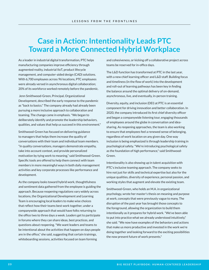# **Case in Action: Intentionality Leads PTC Toward a More Connected Hybrid Workplace**

As a leader in industrial digital transformation, PTC helps manufacturing companies improve efficiency through augmented reality, industrial IIoT, product lifecycle management, and computer-aided design (CAD) solutions. With 6,700 employees across 96 locations, PTC employees were already versed in asynchronous digital collaboration; 20% of its workforce worked remotely before the pandemic.

 Jenn Smithwood-Green, Principal, Organizational Development, described the early response to the pandemic as "back to basics." The company already had already been pursuing a more inclusive approach to collaboration and teaming. The change came in emphasis. "We began to deliberately identify and promote the leadership behaviors, qualities, and values that help us succeed in this environment."

Smithwood-Green has focused on delivering guidance to managers that helps them increase the quality of conversations with their team and individual team members. "In quality conversations, managers demonstrate empathy, take into account context, and provide personalized motivation by tying work to meaning," said Smithwood-Green. Specific tools are offered to help them connect with team members in more meaningful ways in both daily management activities and key corporate processes like performance and development.

As the company looks toward hybrid work, thoughtfulness and sentiment data gathered from the employee is guiding the approach. Because reopening regulations vary widely across locations, the Organizational Development and Learning Team is encouraging local leaders to make wise choices that reflect how their teams best work together, under a companywide approach that would have folks returning to the office two to three days a week. Leaders get to participate in forums where they can share ideas, best practices, and questions about reopening. "We want leaders and teams to be intentional about the activities that happen on days people are in the office," she said, suggesting that certain trainings, whiteboarding sessions, activities focused on team forming

and cohesiveness, or kicking off a collaborative project across teams be reserved for in-office days.

The L&D function has transformed at PTC in the last year, with a new chief learning officer and L&D staff. Building focus and timeliness (in the flow of work) into the development and roll-out of learning pathways has been key in finding the balance around the optimal delivery of on-demand, asynchronous, live, and eventually, in-person training.

Diversity, equity, and inclusion (DEI) at PTC is an essential component for driving innovation and better collaboration. In 2020, the company introduced its first chief diversity officer and began a companywide listening tour, engaging thousands of employees around the globe in conversation and ideasharing. As reopening approaches, the team is also working to ensure that employees feel a renewed sense of belonging, regardless of work location on any given day. One way inclusion is being emphasized is through leadership training in psychological safety. "We're introducing psychological safety as the foundation of high performance," said Smithwood-Green. **EXERCISION FROM THE FRONTLINES**<br> **EXERCISION ACCORDING TRIVAN CONTROVER AND CONTROVER CONDITIONS**<br> **BIGGING THE CONTROVER CONSUMER CONSUMER CONSUMER CONSUMER CONSUMING THE CROSS THE LEAD function between the conserver of** 

Intentionality is also showing up in talent acquisition with PTC's inclusive teaming approach. The company seeks to hire not just for skills and technical expertise but also for the unique qualities, diversity of experience, personal passion, and working styles that augment and elevate the existing team.

Smithwood-Green, who holds an M.A. in organizational psychology, wrote her master's thesis on meaning and purpose at work, concepts that were previously vague to many. The disruption of the past year has brought those concepts to the foreground, allowing the organization to build them intentionally as it prepares for hybrid work. "We've been able to put into practice what we already understood intuitively," she said. "We now have examples of the behaviors and actions that make us more productive and invested in the work we're doing together and looking forward to the exciting possibilities the now present future of work presents."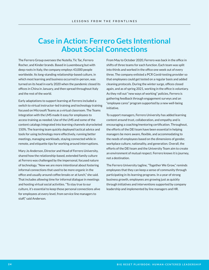# **Case in Action: Ferrero Gets Intentional About Social Connections**

The Ferrero Group oversees the Nutella, Tic Tac, Ferrero Rocher, and Kinder brands. Based in Luxembourg but with deep roots in Italy, the company employs 43,000 people worldwide. Its long-standing relationship-based culture, in which most learning and business occurred in-person, was turned on its head in early 2020 when the pandemic closed its offices in China in January, and then spread throughout Italy and the rest of the world.

Early adaptations to support learning at Ferrero included a switch to virtual instructor-led training and technology training focused on Microsoft Teams as a virtual classroom. The Teams integration with the LMS made it easy for employees to access training as needed. Use of the LMS and some of the content catalogs integrated into learning channels skyrocketed 150%. The learning team quickly deployed tactical advice and tools for using technology more effectively, running better meetings, managing workloads, staying connected while in remote, and etiquette tips for working around interruptions.

Mary Jo Anderson, Director and Head of Ferrero University, shared how the relationship-based, extended family culture at Ferrero was challenged by the impersonal, focused nature of technology. "Now we are more intentional about fostering informal connections that used to be more organic in the office and usually around coffee breaks or at lunch," she said. That includes allowing time for informal dialogue in meetings and hosting virtual social activities. "To stay true to our culture, it's essential to keep those personal connections alive for employees at every level, from service line managers to staff," said Anderson.

From May to October 2020, Ferrero was back in the office in shifts of three teams for each function. Each team was split into thirds and worked in the office one week out of every three. The company enlisted a PCR Covid-testing provider so that employees could get tested on a regular basis and added cleaning protocols. During the winter surge, offices closed again, and as of spring 2021, working in the office is voluntary. As they roll out "new ways of working" policies, Ferrero is gathering feedback through engagement surveys and an "employee cares" program supported by a new well-being initiative. **ESSIONS FROM THE FRONTLINES**<br> **BIG RESET PROP GETS INTERITIONAL CONSECT CONSECT CONSECT CONSECT CONSECT CONSECT CONSECT CONSECT CONSECT CONSECT CONSECT CONSECT CONSECT CONSECT CONSECT CONSECT CONSECT CONSECT CONSECT CONSE** 

To support managers, Ferrero University has added learning content around trust, collaboration, and empathy and is encouraging a coaching/mentoring certification. Throughout, the efforts of the DEI team have been essential in helping managers be more aware, flexible, and accommodating to the needs of employees based on the dimensions of gender, workplace culture, nationality, and generation. Overall, the efforts of the DEI team and the University Team aim to create an environment of mutual respect. Ferrero knows it is journey, not a destination.

The Ferrero University tagline, "Together We Grow," reminds employees that they can keep a sense of community through participating in its learning programs. In a year of strong business growth, employees are growing just as quickly through initiatives and interventions supported by company leadership and implemented by line managers and HR.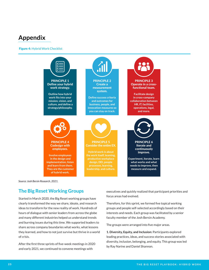# **Appendix**

#### Figure 4: Hybrid Work Checklist



*Source: Josh Bersin Research, 2021.*

### **The Big Reset Working Groups**

Started in March 2020, the Big Reset working groups have clearly transformed the way we share, ideate, and research ideas to transform for the new reality of work. Hundreds of hours of dialogue with senior leaders from across the globe and many different industries helped us understand trends and burning issues during this time. We supported leaders to share across company boundaries what works, what lessons they learned, and how to not just survive but thrive in a world of crisis.

After the first three sprints of five-week meetings in 2020 and early 2021, we continued to convene meetings with

executives and quickly realized that participant priorities and focus areas had evolved.

Therefore, for this sprint, we formed five topical working groups and people self-selected accordingly based on their interests and needs. Each group was facilitated by a senior faculty member of the Josh Bersin Academy.

The groups were arranged into five major areas.

**1. Diversity, Equity, and Inclusion:** Participants explored leading practices, ideas, and success stories associated with diversity, inclusion, belonging, and equity. This group was led by Ray Narine and Daniel Shannon.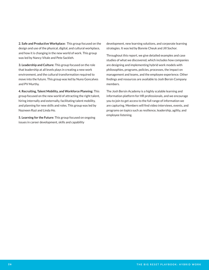**2. Safe and Productive Workplace:** This group focused on the design and use of the physical, digital, and cultural workplace, and how it is changing in the new world of work. This group was led by Nancy Vitale and Pete Sackleh.

**3. Leadership and Culture:** This group focused on the role that leadership at all levels plays in creating a new work environment, and the cultural transformation required to move into the future. This group was led by Nuno Goncalves and PV Murthy.

**4. Recruiting, Talent Mobility, and Workforce Planning:** This group focused on the new world of attracting the right talent, hiring internally and externally, facilitating talent mobility, and planning for new skills and roles. This group was led by Nazneen Razi and Linda Ho.

**5. Learning for the Future:** This group focused on ongoing issues in career development, skills and capability

development, new learning solutions, and corporate learning strategies. It was led by Bonnie Cheuk and Jill Sochor.

Throughout this report, we give detailed examples and case studies of what we discovered, which includes how companies are designing and implementing hybrid work models with philosophies, programs, policies, processes, the impact on management and teams, and the employee experience. Other findings and resources are available to Josh Bersin Company members.

The Josh Bersin Academy is a highly scalable learning and information platform for HR professionals, and we encourage you to join to get access to the full range of information we are capturing. Members will find video interviews, events, and programs on topics such as resilience, leadership, agility, and employee listening.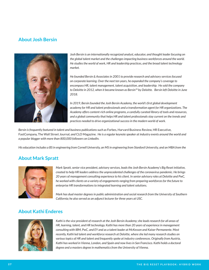### **About Josh Bersin**



*Josh Bersin is an internationally recognized analyst, educator, and thought leader focusing on the global talent market and the challenges impacting business workforces around the world. He studies the world of work, HR and leadership practices, and the broad talent technology market.* 

*He founded Bersin & Associates in 2001 to provide research and advisory services focused on corporate learning. Over the next ten years, he expanded the company's coverage to encompass HR, talent management, talent acquisition, and leadership. He sold the company to Deloitte in 2012, when it became known as Bersin™ by Deloitte. Bersin left Deloitte in June 2018.* 

*In 2019, Bersin founded the Josh Bersin Academy, the world's first global development academy for HR and talent professionals and a transformation agent for HR organizations. The Academy offers content-rich online programs, a carefully curated library of tools and resources, and a global community that helps HR and talent professionals stay current on the trends and practices needed to drive organizational success in the modern world of work.*

*Bersin is frequently featured in talent and business publications such as* Forbes, Harvard Business Review, HR Executive, FastCompany, The Wall Street Journal, *and* CLO Magazine*. He is a regular keynote speaker at industry events around the world and a popular blogger with more than 800,000 followers on LinkedIn.* 

*His education includes a BS in engineering from Cornell University, an MS in engineering from Stanford University, and an MBA from the* 

### **About Mark Spratt**



*Mark Spratt, senior vice president, advisory services, leads the Josh Bersin Academy's Big Reset initiative, created to help HR leaders address the unprecedented challenges of the coronavirus pandemic. He brings 20 years of management consulting experience to his client. In senior advisory roles at Deloitte and PwC, he worked with clients on a variety of engagements ranging from preparing workforces for the future to enterprise HR transformations to integrated learning and talent solutions.* 

*Mark has dual master degrees in public administration and social research from the University of Southern California; he also served as an adjunct lecturer for three years at USC.* 

### **About Kathi Enderes**



*Kathi is the vice president of research at the Josh Bersin Academy; she leads research for all areas of HR, learning, talent, and HR technology. Kathi has more than 20 years of experience in management consulting with IBM, PwC, and EY and as a talent leader at McKesson and Kaiser Permanente. Most recently, Kathi led talent and workforce research at Deloitte, where she led many research studies on various topics of HR and talent and frequently spoke at industry conferences. Originally from Austria, Kathi has worked in Vienna, London, and Spain and now lives in San Francisco. Kathi holds a doctoral degree and a masters degree in mathematics from the University of Vienna.*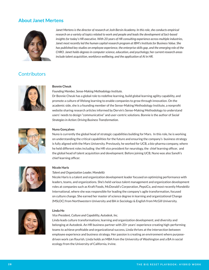### **About Janet Mertens**



*Janet Mertens is the director of research at Josh Bersin Academy. In this role, she conducts empirical research on a variety of topics related to work and people and leads the development of fact-based insights for today's HR executive. With 20 years of HR consulting experience across multiple industries, Janet most recently led the human capital research program at IBM's Institute for Business Value. She has published key studies on employee experience, the enterprise skills gap, and the emerging role of the CHRO. Janet holds degrees in computer science, education, and psychology; her current research areas include talent acquisition, workforce wellbeing, and the application of AI in HR.* 

# **Contributors**



#### **Bonnie Cheuk**

*Founding Member, Sense-Making Methodology Institute.*

Dr Bonnie Cheuk has a global role to redefine learning, build global learning agility capability, and promote a culture of lifelong learning to enable companies to grow through innovation. On the academic side, she is a founding member of the Sense-Making Methodology Institute, a nonprofit website sharing research articles informed by Dervin's Sense-Making Methodology to understand users' needs to design "communicative" and user-centric solutions. Bonnie is the author of *Social Strategies in Action: Driving Business Transformation.* 



#### **Nuno Gonçalves**

Nuno is currently the global head of strategic capabilities building for Mars. In this role, he is working on understanding the critical capabilities for the future and ensuring the company's business strategy is fully aligned with the Mars University. Previously, he worked for UCB, a bio-pharma company, where he held different roles including the HR vice president for neurology, the chief learning officer, and the global head of talent acquisition and development. Before joining UCB, Nuno was also Sanofi's chief learning officer.



#### **Nicole Haris**

#### *Talent and Organization Leader, Mondelez*

Nicole Haris is a talent and organization development leader focused on optimizing performance with leaders, teams, and organizations. She's held various talent management and organization development roles at companies such as Kraft Foods, McDonald's Corporation, PepsiCo, and most recently Mondelez International, where she was responsible for leading the company's agile transformation, focused on culture change. She earned her master of science degree in learning and organizational Change (MSLOC) from Northwestern University and BA in Sociology & English from McGill University.



#### **Linda Ho**

*Vice President, Culture and Capability, Autodesk, Inc.*

Linda leads culture transformations; learning and organization development; and diversity and belonging at Autodesk. An HR business partner with 20+ years' experience creating high-performing teams to achieve profitable and organizational success, Linda thrives at the intersection between employee experience and business strategy. Her passion is creating an environment where purposedriven work can flourish. Linda holds an MBA from the University of Washington and a BA in social ecology from the University of California, Irvine.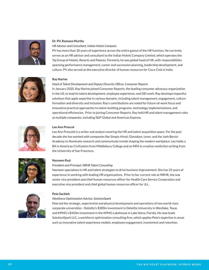

#### **Dr. P.V. Ramana Murthy**

#### *HR Advisor and Consultant, Indian Hotels Company*

PV has more than 30 years of experience across the entire gamut of the HR function. He currently serves as an HR advisor and consultant to the Indian Hotels Company Limited, which operates the Taj Group of Hotels, Resorts and Palaces. Formerly, he was global head of HR, with responsibilities spanning performance management, career and succession planning, leadership development, and culture. PV also served as the executive director of human resources for Coca-Cola in India.



#### **Ray Narine**

#### *Head of Talent Development and Deputy Diversity Officer, Consumer Reports*

In January 2020, Ray Narine joined Consumer Reports, the leading consumer advocacy organization in the US, to lead its talent development, employee experience, and DEI work. Ray develops impactful solutions that apply expertise in various domains, including talent management, engagement, culture formation and diversity and inclusion. Ray's contributions are noted for future-of-work focus and innovative practical approaches to talent-building programs, technology implementations, and operational efficiencies. Prior to joining Consumer Reports, Ray held HR and talent management roles at multiple companies, including S&P Global and American Express.



#### **Lee Ann Prescot**

Lee Ann Prescott is a writer and analyst covering the HR and talent acquisition space. For the past decade she has worked with companies like Simply Hired, Glassdoor, Lever, and the Josh Bersin Academy to illuminate research and communicate trends shaping the modern workplace. Lee holds a BA in American Civilization from Middlebury College and an MFA in creative nonfiction writing from the University of San Francisco.



#### **Nazneen Razi**

#### *President and Principal, NRHR Talent Consulting*

Nazneen specializes in HR and talent strategies to drive business improvement. She has 25 years of experience in working with leading HR organizations. Prior to her current role at NRHR, she was senior vice president and chief human resources officer for Health Care Service Corporation and executive vice president and chief global human resources officer for JLL.



#### **Pete Sackleh**

#### *Workforce Optimization Advisor, SolutionSpark*

Pete led the strategic, experiential and physical development and operations of two world-class corporate universities - Deloitte's \$300m investment in Deloitte University in Westlake, Texas and KPMG's \$450m investment in the KPMG Lakehouse in Lake Nona, Florida. He now leads SolutionSpark LLC, a workforce optimization consulting firm, which applies Pete's expertise in areas such as innovative talent experience models, employee engagement, investment and retention.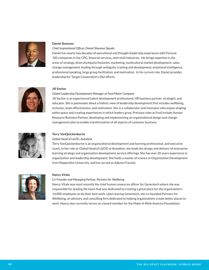

#### **Daniel Shannon**

#### *Chief Inspirational Officer, Daniel Shannon Speaks*

Daniel has nearly two decades of executional and thought leadership experience with Fortune 100 companies in the CPG, financial services, and retail industries. He brings expertise in the areas of strategy, diversity/equity/inclusion, marketing, multicultural market development, sales, change management, leading through ambiguity, training and development, emotional intelligence, professional speaking, large group facilitation, and motivation. In his current role, Daniel provides leadership for Target Corporation's D&I efforts.



#### **Jill Sochor**

#### *Global Leadership Development Manager at Ford Motor Company*

Jill Sochor is an experienced talent development professional, HR business partner, strategist, and educator. She is passionate about a holistic view of leadership development that includes wellbeing, inclusion, team effectiveness, and motivation. She is a collaborator and innovator who enjoys shaping white space and creating experiences in which leaders grow. Previous roles at Ford include Human Resource Business Partner, developing and implementing an organizational design and change management plan to enable transformation of all aspects of customer business.



#### **Terry VanQuickenborne**

#### *Global Head of L&OD, Autodesk*

Terry VanQuickenborne is an organizational development and learning professional, and executive coach. In her role as Global Head of L&OD at Autodesk, she leads the design and delivery of enterprise learning strategy and organization development service offerings. She has over 20 years experience in organization and leadership development. She holds a master of science in Organization Development from Pepperdine University, and has served as Adjunct Faculty.



#### **Nancy Vitale**

*Co-Founder and Managing Partner, Partners for Wellbeing*

Nancy Vitale was most recently the chief human resources officer for Genentech where she was responsible for leading the team that was dedicated to creating a great place for the organization's 14,000 employees to do their best work. Upon leaving Genentech, she co-founded Partners for Wellbeing, an advisory and consulting firm dedicated to helping organizations create better places to work. Nancy also currently serves as a board member for the Make-A-Wish America Foundation.